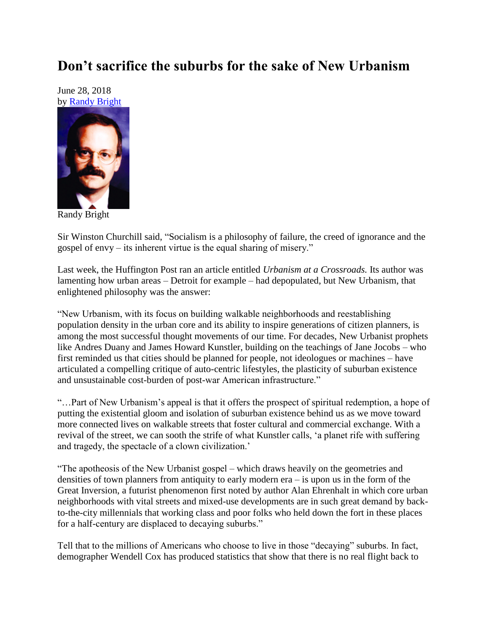## **Don't sacrifice the suburbs for the sake of New Urbanism**

June 28, 2018 by [Randy Bright](http://tulsabeacon.com/writers/randy-bright/)



Randy Bright

Sir Winston Churchill said, "Socialism is a philosophy of failure, the creed of ignorance and the gospel of envy – its inherent virtue is the equal sharing of misery."

Last week, the Huffington Post ran an article entitled *Urbanism at a Crossroads.* Its author was lamenting how urban areas – Detroit for example – had depopulated, but New Urbanism, that enlightened philosophy was the answer:

"New Urbanism, with its focus on building walkable neighborhoods and reestablishing population density in the urban core and its ability to inspire generations of citizen planners, is among the most successful thought movements of our time. For decades, New Urbanist prophets like Andres Duany and James Howard Kunstler, building on the teachings of Jane Jocobs – who first reminded us that cities should be planned for people, not ideologues or machines – have articulated a compelling critique of auto-centric lifestyles, the plasticity of suburban existence and unsustainable cost-burden of post-war American infrastructure."

"…Part of New Urbanism's appeal is that it offers the prospect of spiritual redemption, a hope of putting the existential gloom and isolation of suburban existence behind us as we move toward more connected lives on walkable streets that foster cultural and commercial exchange. With a revival of the street, we can sooth the strife of what Kunstler calls, 'a planet rife with suffering and tragedy, the spectacle of a clown civilization.'

"The apotheosis of the New Urbanist gospel – which draws heavily on the geometries and densities of town planners from antiquity to early modern era – is upon us in the form of the Great Inversion, a futurist phenomenon first noted by author Alan Ehrenhalt in which core urban neighborhoods with vital streets and mixed-use developments are in such great demand by backto-the-city millennials that working class and poor folks who held down the fort in these places for a half-century are displaced to decaying suburbs."

Tell that to the millions of Americans who choose to live in those "decaying" suburbs. In fact, demographer Wendell Cox has produced statistics that show that there is no real flight back to